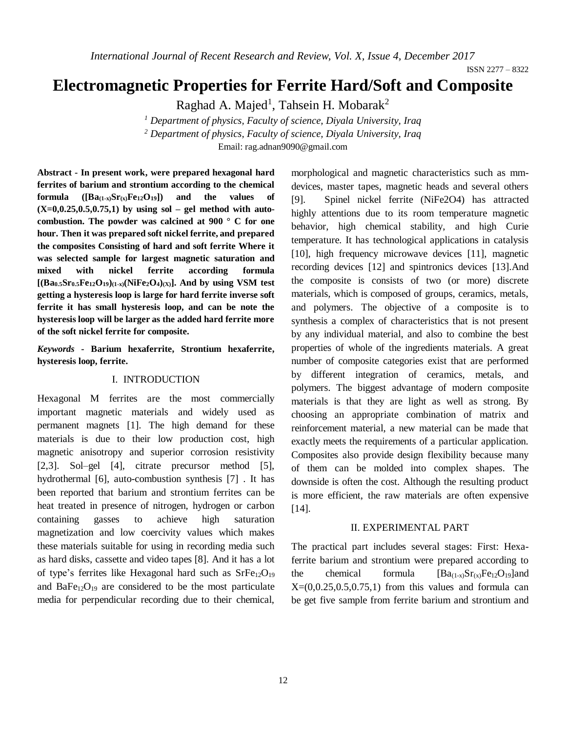# **Electromagnetic Properties for Ferrite Hard/Soft and Composite**

Raghad A. Majed<sup>1</sup>, Tahsein H. Mobarak<sup>2</sup>

*<sup>1</sup> Department of physics, Faculty of science, Diyala University, Iraq <sup>2</sup> Department of physics, Faculty of science, Diyala University, Iraq* Email: [rag.adnan9090@gmail.com](mailto:rag.adnan9090@gmail.com)

**Abstract - In present work, were prepared hexagonal hard ferrites of barium and strontium according to the chemical formula**  $([Ba_{(1-x)}Sr_{(x)}Fe_{12}O_{19}])$  and the values of **(X=0,0.25,0.5,0.75,1) by using sol – gel method with autocombustion. The powder was calcined at 900 ° C for one hour. Then it was prepared soft nickel ferrite, and prepared the composites Consisting of hard and soft ferrite Where it was selected sample for largest magnetic saturation and mixed with nickel ferrite according formula**  $[(Ba_{0.5}Sr_{0.5}Fe_{12}O_{19})_{(1-x)}(NiFe_{2}O_{4})_{(X)}]$ . And by using VSM test **getting a hysteresis loop is large for hard ferrite inverse soft ferrite it has small hysteresis loop, and can be note the hysteresis loop will be larger as the added hard ferrite more of the soft nickel ferrite for composite.**

*Keywords* **- Barium hexaferrite, Strontium hexaferrite, hysteresis loop, ferrite.**

#### I. INTRODUCTION

Hexagonal M ferrites are the most commercially important magnetic materials and widely used as permanent magnets [1]. The high demand for these materials is due to their low production cost, high magnetic anisotropy and superior corrosion resistivity [2,3]. Sol–gel [4], citrate precursor method [5], hydrothermal [6], auto-combustion synthesis [7] . It has been reported that barium and strontium ferrites can be heat treated in presence of nitrogen, hydrogen or carbon containing gasses to achieve high saturation magnetization and low coercivity values which makes these materials suitable for using in recording media such as hard disks, cassette and video tapes [8]. And it has a lot of type's ferrites like Hexagonal hard such as  $SrFe<sub>12</sub>O<sub>19</sub>$ and  $BaFe_{12}O_{19}$  are considered to be the most particulate media for perpendicular recording due to their chemical,

morphological and magnetic characteristics such as mmdevices, master tapes, magnetic heads and several others [9]. Spinel nickel ferrite (NiFe2O4) has attracted highly attentions due to its room temperature magnetic behavior, high chemical stability, and high Curie temperature. It has technological applications in catalysis [10], high frequency microwave devices [11], magnetic recording devices [12] and spintronics devices [13].And the composite is consists of two (or more) discrete materials, which is composed of groups, ceramics, metals, and polymers. The objective of a composite is to synthesis a complex of characteristics that is not present by any individual material, and also to combine the best properties of whole of the ingredients materials. A great number of composite categories exist that are performed by different integration of ceramics, metals, and polymers. The biggest advantage of modern composite materials is that they are light as well as strong. By choosing an appropriate combination of matrix and reinforcement material, a new material can be made that exactly meets the requirements of a particular application. Composites also provide design flexibility because many of them can be molded into complex shapes. The downside is often the cost. Although the resulting product is more efficient, the raw materials are often expensive [14].

## II. EXPERIMENTAL PART

The practical part includes several stages: First: Hexaferrite barium and strontium were prepared according to the chemical formula  $[Ba_{(1-x)}Sr_{(x)}Fe_{12}O_{19}]$ and  $X=(0,0.25,0.5,0.75,1)$  from this values and formula can be get five sample from ferrite barium and strontium and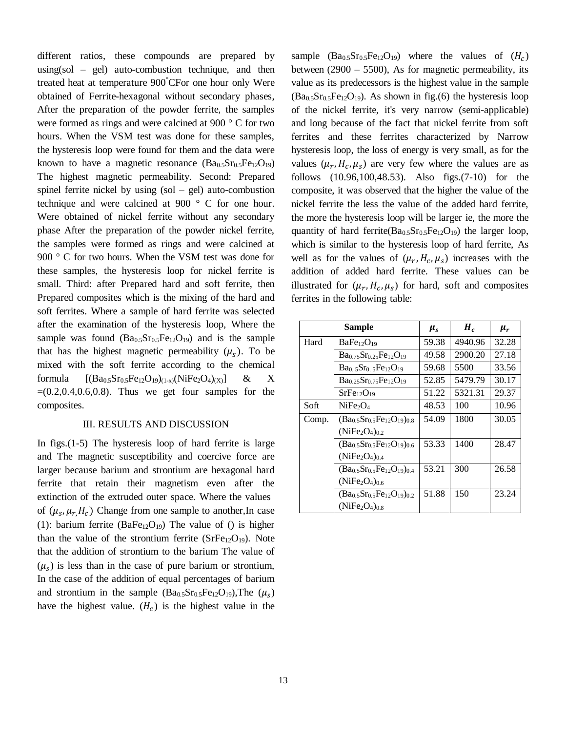different ratios, these compounds are prepared by  $using(sol - gel)$  auto-combustion technique, and then treated heat at temperature 900°CFor one hour only Were obtained of Ferrite-hexagonal without secondary phases, After the preparation of the powder ferrite, the samples were formed as rings and were calcined at 900 ° C for two hours. When the VSM test was done for these samples, the hysteresis loop were found for them and the data were known to have a magnetic resonance  $(Ba_0, Sr_0, Fe_1, O_{19})$ The highest magnetic permeability. Second: Prepared spinel ferrite nickel by using  $(sol - gel)$  auto-combustion technique and were calcined at 900 ° C for one hour. Were obtained of nickel ferrite without any secondary phase After the preparation of the powder nickel ferrite, the samples were formed as rings and were calcined at 900 ° C for two hours. When the VSM test was done for these samples, the hysteresis loop for nickel ferrite is small. Third: after Prepared hard and soft ferrite, then Prepared composites which is the mixing of the hard and soft ferrites. Where a sample of hard ferrite was selected after the examination of the hysteresis loop, Where the sample was found  $(Ba_{0.5}Sr_{0.5}Fe_{12}O_{19})$  and is the sample that has the highest magnetic permeability  $(\mu_s)$ . To be mixed with the soft ferrite according to the chemical formula  $[(Ba_{0.5}Sr_{0.5}Fe_{12}O_{19})(1-x)(NiFe_2O_4)(x)]$  & X  $=(0.2, 0.4, 0.6, 0.8)$ . Thus we get four samples for the composites.

#### III. RESULTS AND DISCUSSION

In figs.(1-5) The hysteresis loop of hard ferrite is large and The magnetic susceptibility and coercive force are larger because barium and strontium are hexagonal hard ferrite that retain their magnetism even after the extinction of the extruded outer space. Where the values of  $(\mu_s, \mu_r, H_c)$  Change from one sample to another, In case (1): barium ferrite ( $BaFe<sub>12</sub>O<sub>19</sub>$ ) The value of () is higher than the value of the strontium ferrite  $(SrFe_{12}O_{19})$ . Note that the addition of strontium to the barium The value of  $(\mu_s)$  is less than in the case of pure barium or strontium, In the case of the addition of equal percentages of barium and strontium in the sample  $(Ba_{0.5}Sr_{0.5}Fe_{12}O_{19})$ , The  $(\mu_s)$ have the highest value.  $(H_c)$  is the highest value in the

sample  $(Ba_{0.5}Sr_{0.5}Fe_{12}O_{19})$  where the values of  $(H_c)$ between  $(2900 - 5500)$ , As for magnetic permeability, its value as its predecessors is the highest value in the sample  $(Ba<sub>0.5</sub>Sr<sub>0.5</sub>Fe<sub>12</sub>O<sub>19</sub>)$ . As shown in fig.(6) the hysteresis loop of the nickel ferrite, it's very narrow (semi-applicable) and long because of the fact that nickel ferrite from soft ferrites and these ferrites characterized by Narrow hysteresis loop, the loss of energy is very small, as for the values  $(\mu_r, H_c, \mu_s)$  are very few where the values are as follows (10.96,100,48.53). Also figs.(7-10) for the composite, it was observed that the higher the value of the nickel ferrite the less the value of the added hard ferrite, the more the hysteresis loop will be larger ie, the more the quantity of hard ferrite( $Ba<sub>0.5</sub>Sr<sub>0.5</sub>Fe<sub>12</sub>O<sub>19</sub>$ ) the larger loop, which is similar to the hysteresis loop of hard ferrite, As well as for the values of  $(\mu_r, H_c, \mu_s)$  increases with the addition of added hard ferrite. These values can be illustrated for  $(\mu_r, H_c, \mu_s)$  for hard, soft and composites ferrites in the following table:

| Sample |                                         | $\mu_{s}$ | $H_c$   | $\mu_r$ |
|--------|-----------------------------------------|-----------|---------|---------|
| Hard   | BaFe <sub>12</sub> O <sub>19</sub>      | 59.38     | 4940.96 | 32.28   |
|        | $Ba0.75Sr0.25Fe12O19$                   | 49.58     | 2900.20 | 27.18   |
|        | $Ba0.5Sr0.5Fe12O19$                     | 59.68     | 5500    | 33.56   |
|        | $Ba0.25Sr0.75Fe12O19$                   | 52.85     | 5479.79 | 30.17   |
|        | SrFe <sub>12</sub> O <sub>19</sub>      | 51.22     | 5321.31 | 29.37   |
| Soft   | NiFe <sub>2</sub> O <sub>4</sub>        | 48.53     | 100     | 10.96   |
| Comp.  | $(Ba_{0.5}Sr_{0.5}Fe_{12}O_{19})_{0.8}$ | 54.09     | 1800    | 30.05   |
|        | $(NiFe2O4)0.2$                          |           |         |         |
|        | $(Ba_{0.5}Sr_{0.5}Fe_{12}O_{19})_{0.6}$ | 53.33     | 1400    | 28.47   |
|        | $(NiFe2O4)0.4$                          |           |         |         |
|        | $(Ba_{0.5}Sr_{0.5}Fe_{12}O_{19})_{0.4}$ | 53.21     | 300     | 26.58   |
|        | $(NiFe2O4)0.6$                          |           |         |         |
|        | $(Ba_{0.5}Sr_{0.5}Fe_{12}O_{19})_{0.2}$ | 51.88     | 150     | 23.24   |
|        | $(NiFe2O4)0.8$                          |           |         |         |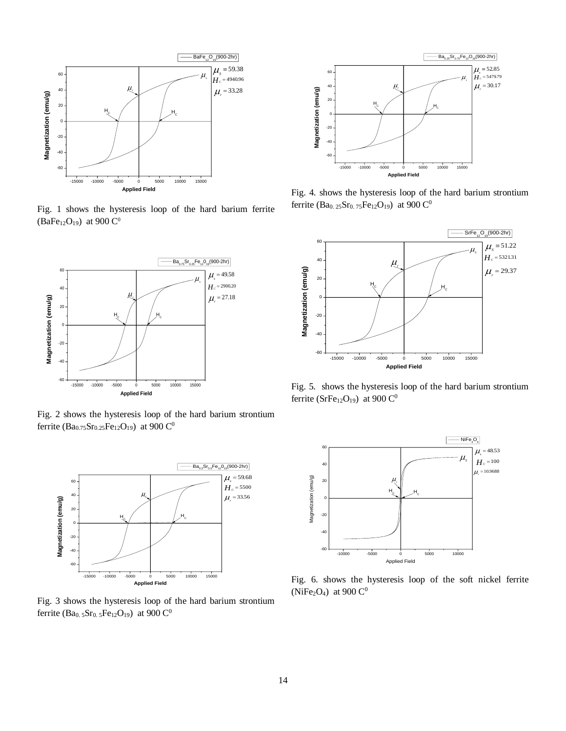

Fig. 1 shows the hysteresis loop of the hard barium ferrite  $(BaFe<sub>12</sub>O<sub>19</sub>)$  at 900  $C<sup>0</sup>$ 



Fig. 2 shows the hysteresis loop of the hard barium strontium ferrite (Ba<sub>0.75</sub>Sr<sub>0.25</sub>Fe<sub>12</sub>O<sub>19</sub>) at 900 C<sup>0</sup>



Fig. 3 shows the hysteresis loop of the hard barium strontium ferrite (Ba<sub>0.5</sub>Sr<sub>0.5</sub>Fe<sub>12</sub>O<sub>19</sub>) at 900 C<sup>0</sup>



Fig. 4. shows the hysteresis loop of the hard barium strontium ferrite (Ba<sub>0.25</sub>Sr<sub>0.75</sub>Fe<sub>12</sub>O<sub>19</sub>) at 900 C<sup>0</sup>



Fig. 5. shows the hysteresis loop of the hard barium strontium ferrite (SrFe $_{12}O_{19}$ ) at 900 C<sup>0</sup>



Fig. 6. shows the hysteresis loop of the soft nickel ferrite (NiFe<sub>2</sub>O<sub>4</sub>) at 900  $C^0$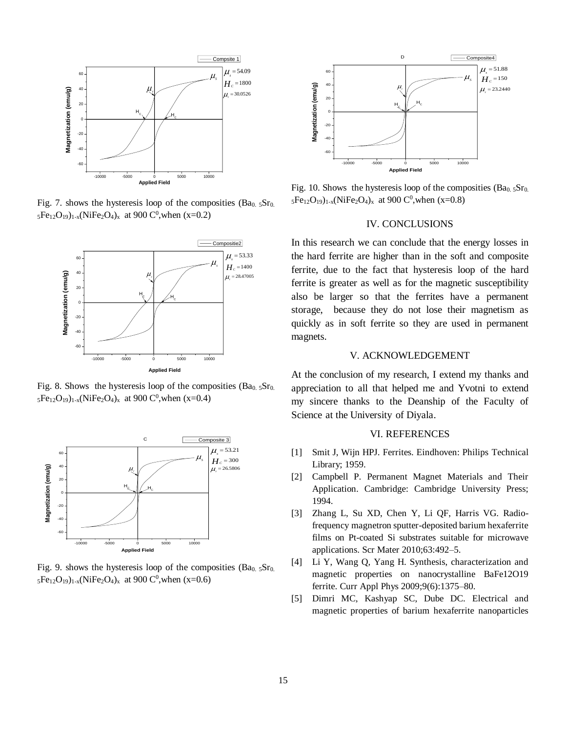

Fig. 7. shows the hysteresis loop of the composities  $(Ba_0, Sr_0)$ .  $_5Fe_{12}O_{19}$ )<sub>1-x</sub>(NiFe<sub>2</sub>O<sub>4</sub>)<sub>x</sub> at 900 C<sup>0</sup>, when (x=0.2)



Fig. 8. Shows the hysteresis loop of the composities  $(Ba_0.5Sr_0)$ .  $_5Fe_{12}O_{19}$ <sub>1-x</sub>(NiFe<sub>2</sub>O<sub>4</sub>)<sub>x</sub> at 900 C<sup>0</sup>, when (x=0.4)



Fig. 9. shows the hysteresis loop of the composities  $(Ba_0.5Sr_0.$  $_5Fe_{12}O_{19}$ )<sub>1-x</sub>(NiFe<sub>2</sub>O<sub>4</sub>)<sub>x</sub> at 900 C<sup>0</sup>, when (x=0.6)



Fig. 10. Shows the hysteresis loop of the composities  $(Ba_0.5Sr_0)$ .  $_5Fe_{12}O_{19}$ <sub>1-x</sub>(NiFe<sub>2</sub>O<sub>4</sub>)<sub>x</sub> at 900 C<sup>0</sup>, when (x=0.8)

## IV. CONCLUSIONS

In this research we can conclude that the energy losses in the hard ferrite are higher than in the soft and composite ferrite, due to the fact that hysteresis loop of the hard ferrite is greater as well as for the magnetic susceptibility also be larger so that the ferrites have a permanent storage, because they do not lose their magnetism as quickly as in soft ferrite so they are used in permanent magnets.

### V. ACKNOWLEDGEMENT

At the conclusion of my research, I extend my thanks and appreciation to all that helped me and Yvotni to extend my sincere thanks to the Deanship of the Faculty of Science at the University of Diyala.

#### VI. REFERENCES

- [1] Smit J, Wijn HPJ. Ferrites. Eindhoven: Philips Technical Library; 1959.
- [2] Campbell P. Permanent Magnet Materials and Their Application. Cambridge: Cambridge University Press; 1994.
- [3] Zhang L, Su XD, Chen Y, Li QF, Harris VG. Radiofrequency magnetron sputter-deposited barium hexaferrite films on Pt-coated Si substrates suitable for microwave applications. Scr Mater 2010;63:492–5.
- [4] Li Y, Wang Q, Yang H. Synthesis, characterization and magnetic properties on nanocrystalline BaFe12O19 ferrite. Curr Appl Phys 2009;9(6):1375–80.
- [5] Dimri MC, Kashyap SC, Dube DC. Electrical and magnetic properties of barium hexaferrite nanoparticles